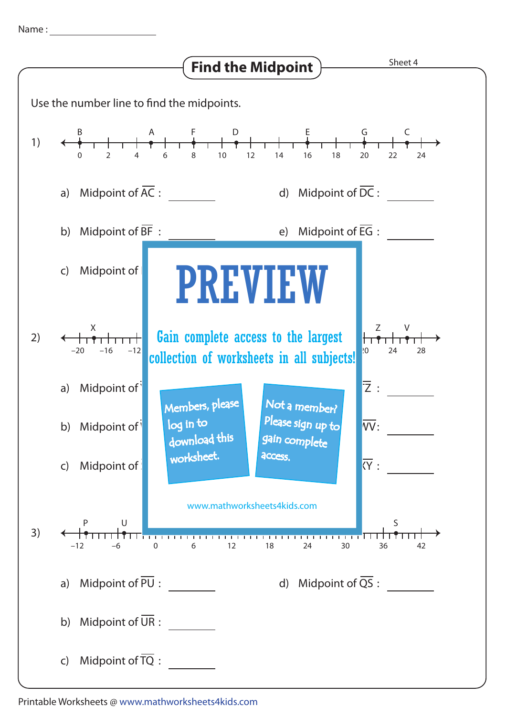